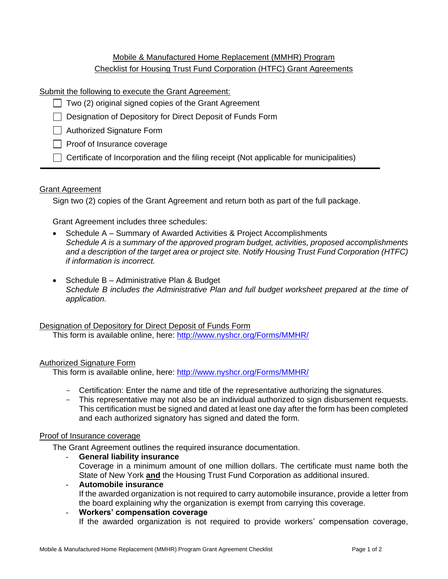# Mobile & Manufactured Home Replacement (MMHR) Program Checklist for Housing Trust Fund Corporation (HTFC) Grant Agreements

# Submit the following to execute the Grant Agreement:

- $\Box$  Two (2) original signed copies of the Grant Agreement
- Designation of Depository for Direct Deposit of Funds Form

□ Authorized Signature Form

- $\Box$  Proof of Insurance coverage
- $\Box$  Certificate of Incorporation and the filing receipt (Not applicable for municipalities)

# **Grant Agreement**

Sign two (2) copies of the Grant Agreement and return both as part of the full package.

Grant Agreement includes three schedules:

- Schedule A Summary of Awarded Activities & Project Accomplishments *Schedule A is a summary of the approved program budget, activities, proposed accomplishments and a description of the target area or project site. Notify Housing Trust Fund Corporation (HTFC) if information is incorrect.*
- Schedule B Administrative Plan & Budget *Schedule B includes the Administrative Plan and full budget worksheet prepared at the time of application.*

Designation of Depository for Direct Deposit of Funds Form This form is available online, here: <http://www.nyshcr.org/Forms/MMHR/>

# Authorized Signature Form

This form is available online, here: <http://www.nyshcr.org/Forms/MMHR/>

- Certification: Enter the name and title of the representative authorizing the signatures.
- This representative may not also be an individual authorized to sign disbursement requests. This certification must be signed and dated at least one day after the form has been completed and each authorized signatory has signed and dated the form.

# Proof of Insurance coverage

The Grant Agreement outlines the required insurance documentation.

- **General liability insurance** Coverage in a minimum amount of one million dollars. The certificate must name both the State of New York **and** the Housing Trust Fund Corporation as additional insured.
- **Automobile insurance** If the awarded organization is not required to carry automobile insurance, provide a letter from the board explaining why the organization is exempt from carrying this coverage.
- **Workers' compensation coverage** If the awarded organization is not required to provide workers' compensation coverage,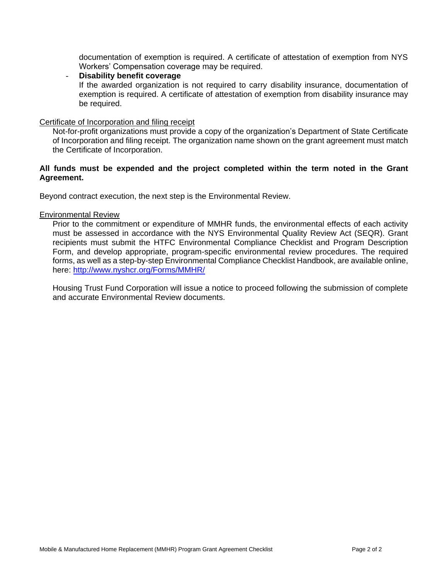documentation of exemption is required. A certificate of attestation of exemption from NYS Workers' Compensation coverage may be required.

# **Disability benefit coverage**

If the awarded organization is not required to carry disability insurance, documentation of exemption is required. A certificate of attestation of exemption from disability insurance may be required.

# Certificate of Incorporation and filing receipt

Not-for-profit organizations must provide a copy of the organization's Department of State Certificate of Incorporation and filing receipt. The organization name shown on the grant agreement must match the Certificate of Incorporation.

# **All funds must be expended and the project completed within the term noted in the Grant Agreement.**

Beyond contract execution, the next step is the Environmental Review.

# Environmental Review

Prior to the commitment or expenditure of MMHR funds, the environmental effects of each activity must be assessed in accordance with the NYS Environmental Quality Review Act (SEQR). Grant recipients must submit the HTFC Environmental Compliance Checklist and Program Description Form, and develop appropriate, program-specific environmental review procedures. The required forms, as well as a step-by-step Environmental Compliance Checklist Handbook, are available online, here:<http://www.nyshcr.org/Forms/MMHR/>

Housing Trust Fund Corporation will issue a notice to proceed following the submission of complete and accurate Environmental Review documents.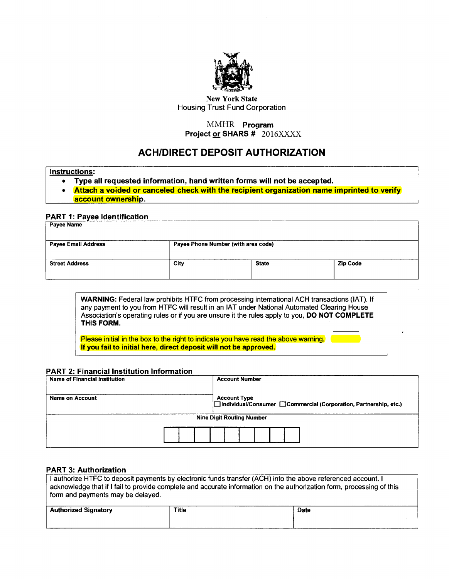

New York State Housing Trust Fund Corporation

# MMHR **Program** Project <u>or</u> SHARS # 2016XXXX

# ACH/DIRECT DEPOSIT AUTHORIZATION

#### Instructions:

- Type all requested information, hand written forms will not be accepted.
- Attach a voided or canceled check with the recipient organization name imprinted to verify account ownership.

## PART 1: Payee Identification

| Payee Name                 |                                     |              |                 |  |  |  |  |
|----------------------------|-------------------------------------|--------------|-----------------|--|--|--|--|
| <b>Payee Email Address</b> | Payee Phone Number (with area code) |              |                 |  |  |  |  |
| <b>Street Address</b>      | <b>City</b>                         | <b>State</b> | <b>Zip Code</b> |  |  |  |  |

WARNING: Federal law prohibits HTFC from processing international ACH transactions (IAT). If any payment to you from HTFC will result in an IAT under National Automated Clearing House Association's operating rules or if you are unsure it the rules apply to you, DO NOT COMPLETE THIS FORM. any payment to you from HTFC will result in an IAT under National Automated Clearing House<br>Association's operating rules or if you are unsure it the rules apply to you, **DO NOT COMPLETE**<br>THIS FORM.<br>Please initial in the bo

If you fail to initial here, direct deposit will not be approved.

## PART 2: Financial Institution Information

| Name of Financial Institution |  |  | <b>Account Number</b>            |  |  |                                                                   |
|-------------------------------|--|--|----------------------------------|--|--|-------------------------------------------------------------------|
| Name on Account               |  |  | <b>Account Type</b>              |  |  | □Individual/Consumer □Commercial (Corporation, Partnership, etc.) |
|                               |  |  | <b>Nine Digit Routing Number</b> |  |  |                                                                   |
|                               |  |  |                                  |  |  |                                                                   |

## PART 3: Authorization

| I authorize HTFC to deposit payments by electronic funds transfer (ACH) into the above referenced account. I<br>acknowledge that if I fail to provide complete and accurate information on the authorization form, processing of this<br>form and payments may be delayed. |              |             |  |  |  |  |  |  |
|----------------------------------------------------------------------------------------------------------------------------------------------------------------------------------------------------------------------------------------------------------------------------|--------------|-------------|--|--|--|--|--|--|
| <b>Authorized Signatory</b>                                                                                                                                                                                                                                                | <b>Title</b> | <b>Date</b> |  |  |  |  |  |  |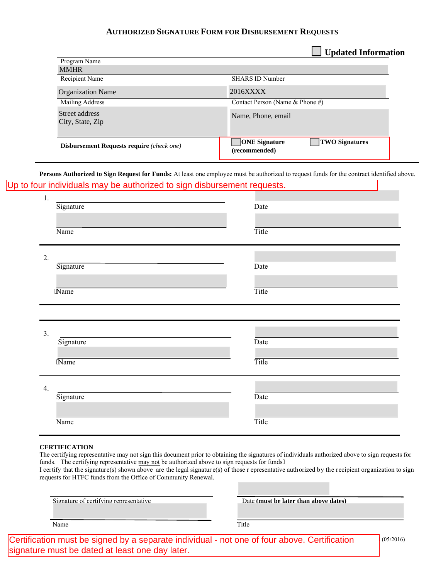# **AUTHORIZED SIGNATURE FORM FOR DISBURSEMENT REQUESTS**

**Updated Information**

| <b>Disbursement Requests require</b> (check one) | <b>ONE</b> Signature<br><b>TWO Signatures</b><br>(recommended) |
|--------------------------------------------------|----------------------------------------------------------------|
| Street address<br>City, State, Zip               | Name, Phone, email                                             |
| <b>Mailing Address</b>                           | Contact Person (Name & Phone #)                                |
| <b>Organization Name</b>                         | 2016XXXX                                                       |
| Recipient Name                                   | <b>SHARS ID Number</b>                                         |
| <b>MMHR</b>                                      |                                                                |
|                                                  |                                                                |

**Persons Authorized to Sign Request for Funds:** At least one employee must be authorized to request funds for the contract identified above. Up to four individuals may be authorized to sign disbursement requests.

| 1.<br>Signature               | Date  |
|-------------------------------|-------|
| Name                          | Title |
| 2.<br>Signature               | Date  |
| 'Name                         | Title |
|                               |       |
| $\overline{3}$ .<br>Signature | Date  |
| 'Name                         | Title |
| 4.                            |       |
| Signature                     | Date  |

#### **CERTIFICATION**

The certifying representative may not sign this document prior to obtaining the signatures of individuals authorized above to sign requests for funds. The certifying representative may not be authorized above to sign requests for funds0

I certify that the signature(s) shown above are the legal signatur e(s) of those r epresentative authorized by the recipient organization to sign requests for HTFC funds from the Office of Community Renewal.

| Signature of certifying representative | Date (must be later than above dates) |
|----------------------------------------|---------------------------------------|
| Name                                   | Title                                 |

Certification must be signed by a separate individual - not one of four above. Certification  $\vert^{(05/2016)}\vert$ signature must be dated at least one day later.